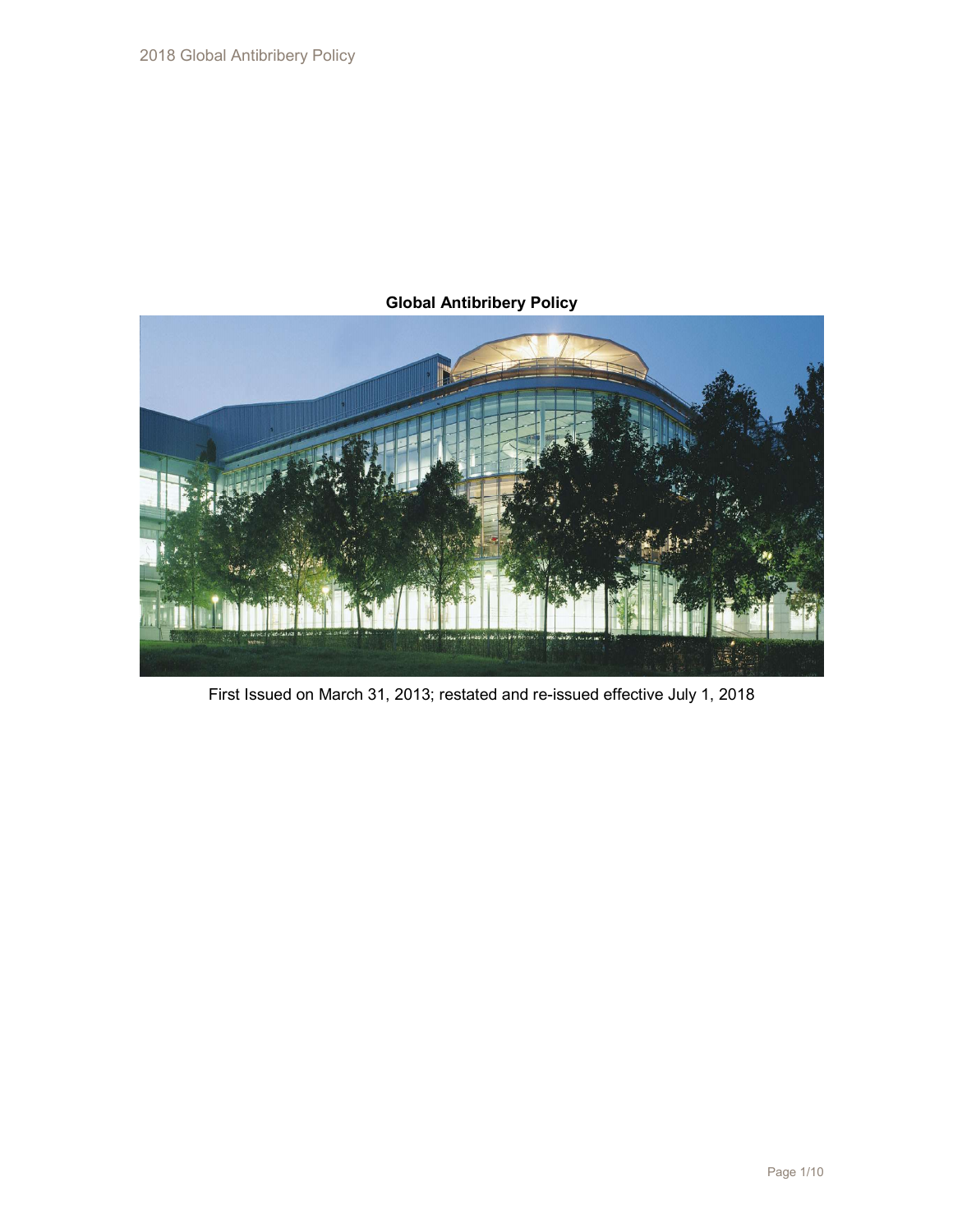# Global Antibribery Policy



First Issued on March 31, 2013; restated and re-issued effective July 1, 2018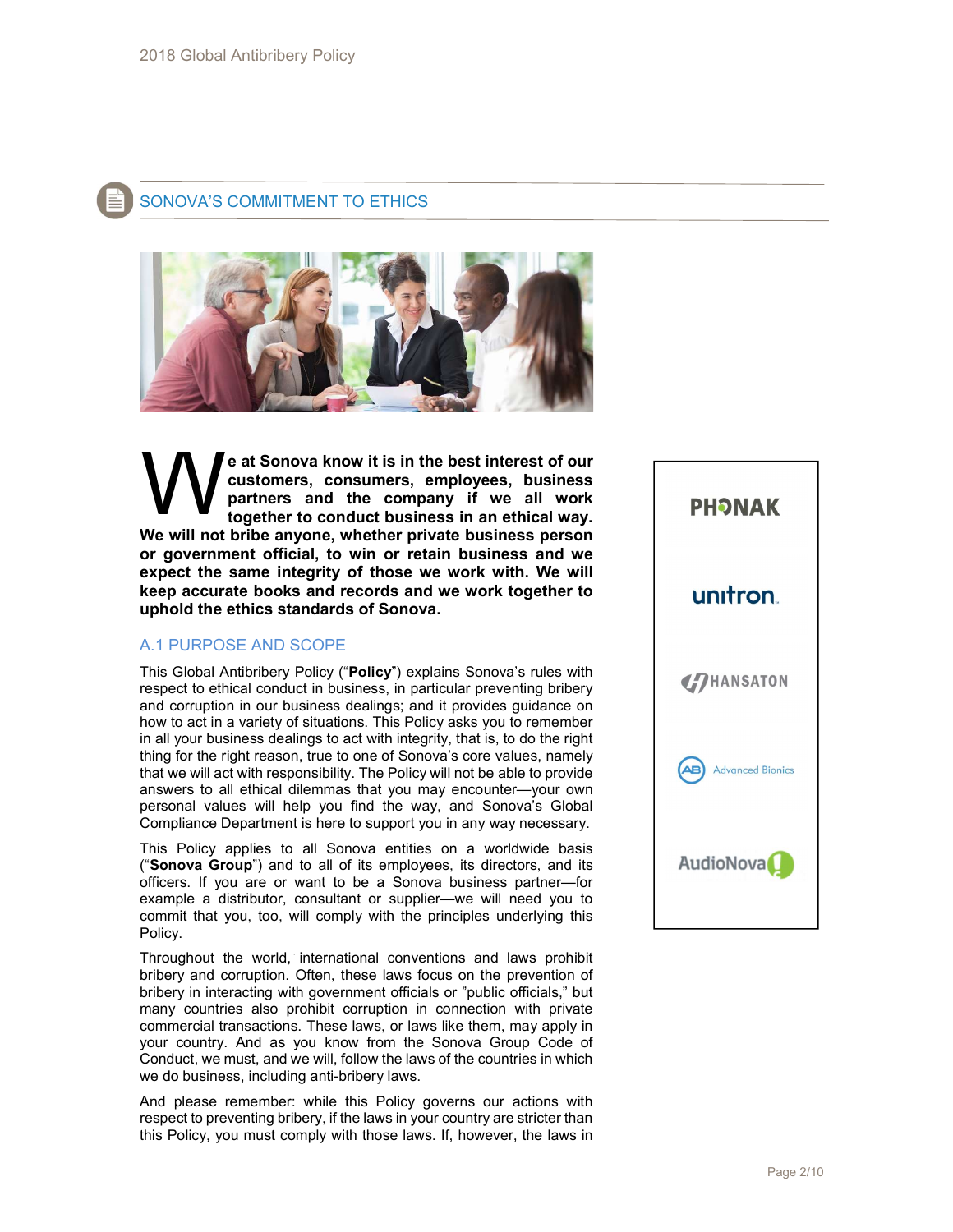

# SONOVA'S COMMITMENT TO ETHICS



e at Sonova know it is in the best interest of our customers, consumers, employees, business partners and the company if we all work together to conduct business in an ethical way. We will not bribe anyone, whether private business person or government official, to win or retain business and we expect the same integrity of those we work with. We will keep accurate books and records and we work together to uphold the ethics standards of Sonova. W<sub></sub>

# A.1 PURPOSE AND SCOPE

This Global Antibribery Policy ("Policy") explains Sonova's rules with respect to ethical conduct in business, in particular preventing bribery and corruption in our business dealings; and it provides guidance on how to act in a variety of situations. This Policy asks you to remember in all your business dealings to act with integrity, that is, to do the right thing for the right reason, true to one of Sonova's core values, namely that we will act with responsibility. The Policy will not be able to provide answers to all ethical dilemmas that you may encounter—your own personal values will help you find the way, and Sonova's Global Compliance Department is here to support you in any way necessary.

This Policy applies to all Sonova entities on a worldwide basis ("Sonova Group") and to all of its employees, its directors, and its officers. If you are or want to be a Sonova business partner—for example a distributor, consultant or supplier—we will need you to commit that you, too, will comply with the principles underlying this Policy.

Throughout the world, international conventions and laws prohibit bribery and corruption. Often, these laws focus on the prevention of bribery in interacting with government officials or "public officials," but many countries also prohibit corruption in connection with private commercial transactions. These laws, or laws like them, may apply in your country. And as you know from the Sonova Group Code of Conduct, we must, and we will, follow the laws of the countries in which we do business, including anti-bribery laws.

And please remember: while this Policy governs our actions with respect to preventing bribery, if the laws in your country are stricter than this Policy, you must comply with those laws. If, however, the laws in

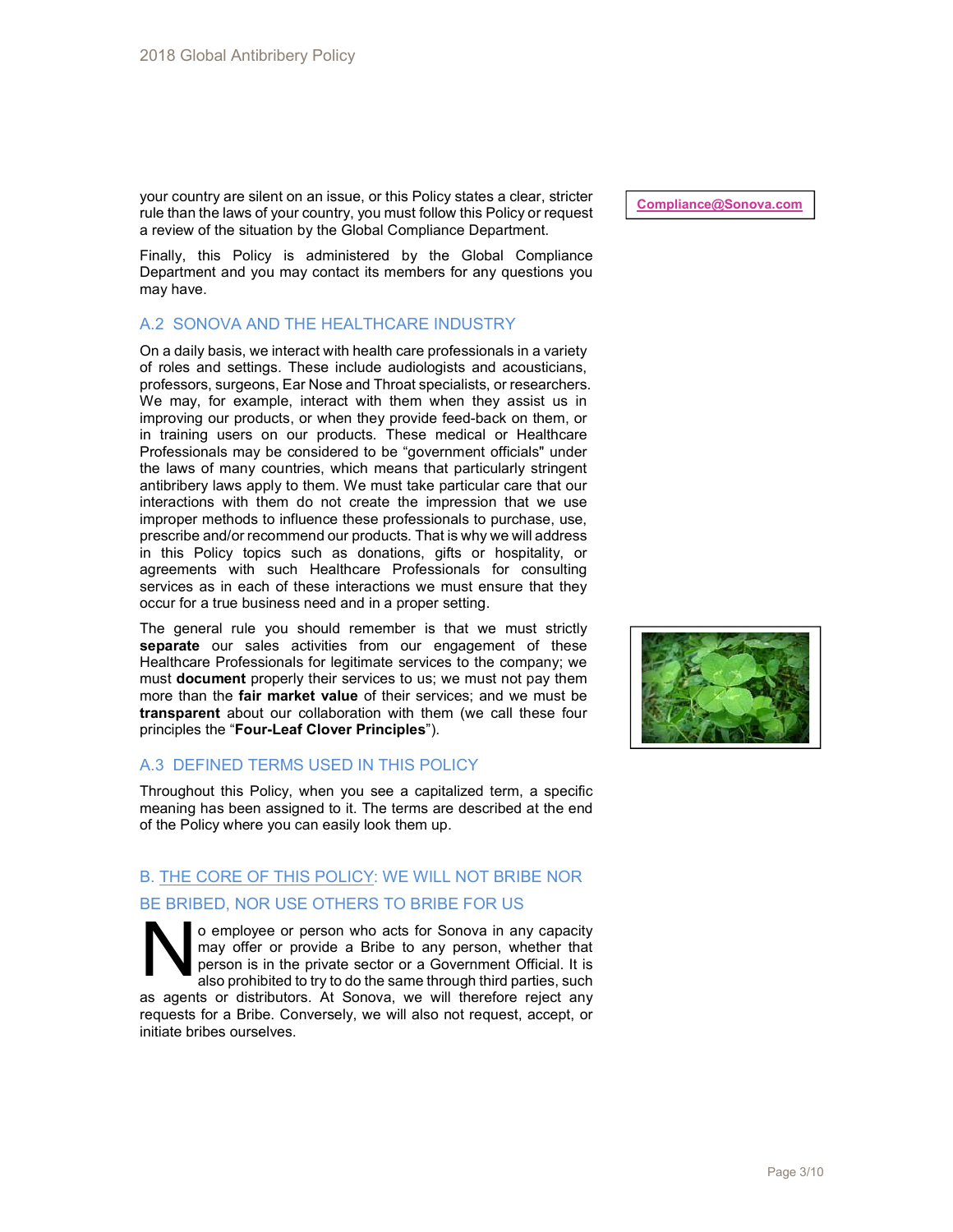your country are silent on an issue, or this Policy states a clear, stricter rule than the laws of your country, you must follow this Policy or request a review of the situation by the Global Compliance Department.

Finally, this Policy is administered by the Global Compliance Department and you may contact its members for any questions you may have.

# A.2 SONOVA AND THE HEALTHCARE INDUSTRY

On a daily basis, we interact with health care professionals in a variety of roles and settings. These include audiologists and acousticians, professors, surgeons, Ear Nose and Throat specialists, or researchers. We may, for example, interact with them when they assist us in improving our products, or when they provide feed-back on them, or in training users on our products. These medical or Healthcare Professionals may be considered to be "government officials" under the laws of many countries, which means that particularly stringent antibribery laws apply to them. We must take particular care that our interactions with them do not create the impression that we use improper methods to influence these professionals to purchase, use, prescribe and/or recommend our products. That is why we will address in this Policy topics such as donations, gifts or hospitality, or agreements with such Healthcare Professionals for consulting services as in each of these interactions we must ensure that they occur for a true business need and in a proper setting.

The general rule you should remember is that we must strictly separate our sales activities from our engagement of these Healthcare Professionals for legitimate services to the company; we must **document** properly their services to us; we must not pay them more than the fair market value of their services; and we must be transparent about our collaboration with them (we call these four principles the "Four-Leaf Clover Principles").

# A.3 DEFINED TERMS USED IN THIS POLICY

Throughout this Policy, when you see a capitalized term, a specific meaning has been assigned to it. The terms are described at the end of the Policy where you can easily look them up.

# B. THE CORE OF THIS POLICY: WE WILL NOT BRIBE NOR BE BRIBED, NOR USE OTHERS TO BRIBE FOR US

o employee or person who acts for Sonova in any capacity may offer or provide a Bribe to any person, whether that person is in the private sector or a Government Official. It is also prohibited to try to do the same through third parties, such as agents or distributors. At Sonova, we will therefore reject any requests for a Bribe. Conversely, we will also not request, accept, or initiate bribes ourselves.  $N_{\rm net}^{\rm end}$ 

Compliance@Sonova.com

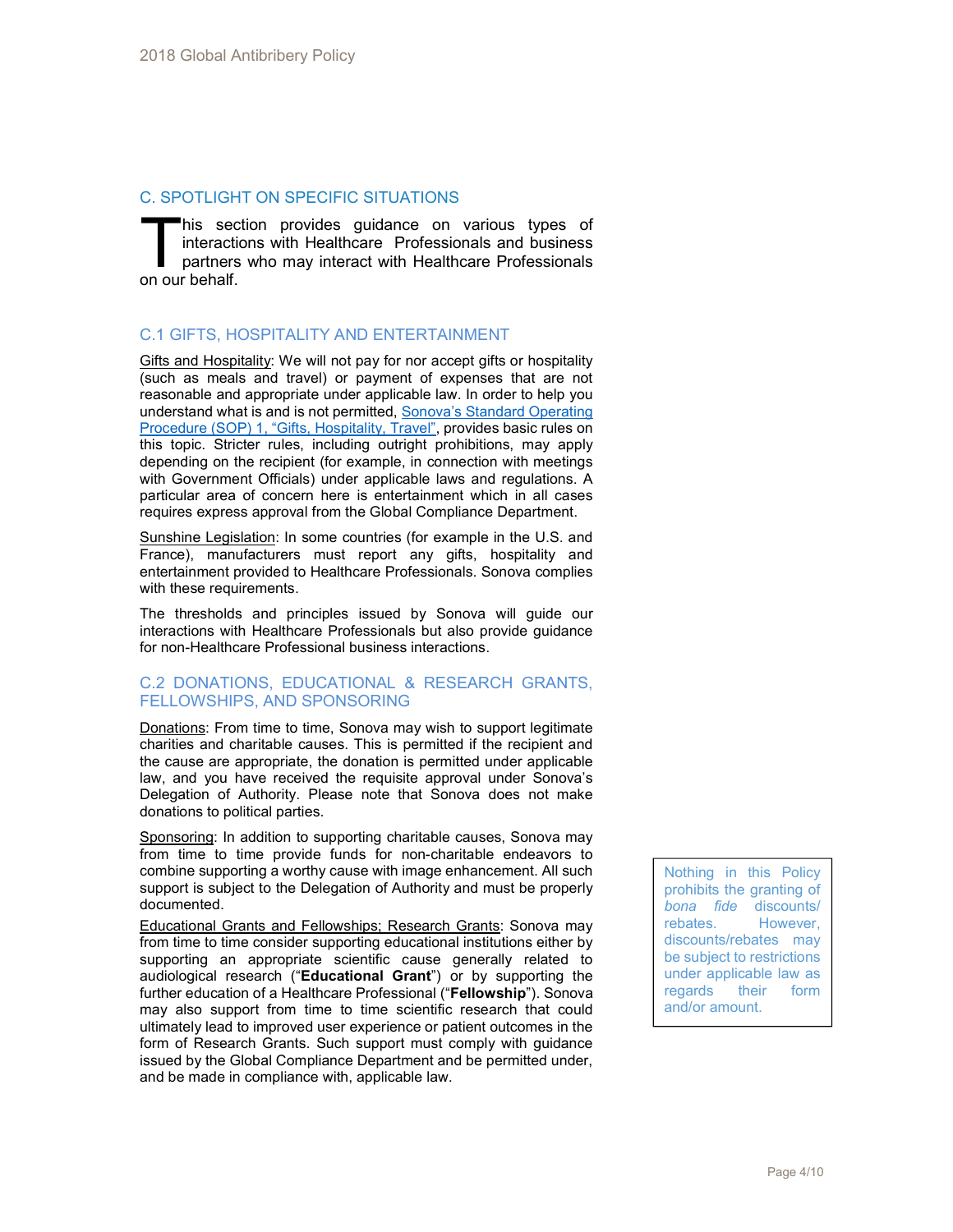# C. SPOTLIGHT ON SPECIFIC SITUATIONS

his section provides guidance on various types of interactions with Healthcare Professionals and business partners who may interact with Healthcare Professionals his sect<br>interactic<br>partners<br>on our behalf.

# C.1 GIFTS, HOSPITALITY AND ENTERTAINMENT

Gifts and Hospitality: We will not pay for nor accept gifts or hospitality (such as meals and travel) or payment of expenses that are not reasonable and appropriate under applicable law. In order to help you understand what is and is not permitted, Sonova's Standard Operating Procedure (SOP) 1, "Gifts, Hospitality, Travel", provides basic rules on this topic. Stricter rules, including outright prohibitions, may apply depending on the recipient (for example, in connection with meetings with Government Officials) under applicable laws and regulations. A particular area of concern here is entertainment which in all cases requires express approval from the Global Compliance Department.

Sunshine Legislation: In some countries (for example in the U.S. and France), manufacturers must report any gifts, hospitality and entertainment provided to Healthcare Professionals. Sonova complies with these requirements.

The thresholds and principles issued by Sonova will guide our interactions with Healthcare Professionals but also provide guidance for non-Healthcare Professional business interactions.

# C.2 DONATIONS, EDUCATIONAL & RESEARCH GRANTS, FELLOWSHIPS, AND SPONSORING

Donations: From time to time, Sonova may wish to support legitimate charities and charitable causes. This is permitted if the recipient and the cause are appropriate, the donation is permitted under applicable law, and you have received the requisite approval under Sonova's Delegation of Authority. Please note that Sonova does not make donations to political parties.

Sponsoring: In addition to supporting charitable causes, Sonova may from time to time provide funds for non-charitable endeavors to combine supporting a worthy cause with image enhancement. All such support is subject to the Delegation of Authority and must be properly documented.

Educational Grants and Fellowships; Research Grants: Sonova may from time to time consider supporting educational institutions either by supporting an appropriate scientific cause generally related to audiological research ("Educational Grant") or by supporting the further education of a Healthcare Professional ("Fellowship"). Sonova may also support from time to time scientific research that could ultimately lead to improved user experience or patient outcomes in the form of Research Grants. Such support must comply with guidance issued by the Global Compliance Department and be permitted under, and be made in compliance with, applicable law.

Nothing in this Policy prohibits the granting of bona fide discounts/ rebates. However, discounts/rebates may be subject to restrictions under applicable law as regards their form and/or amount.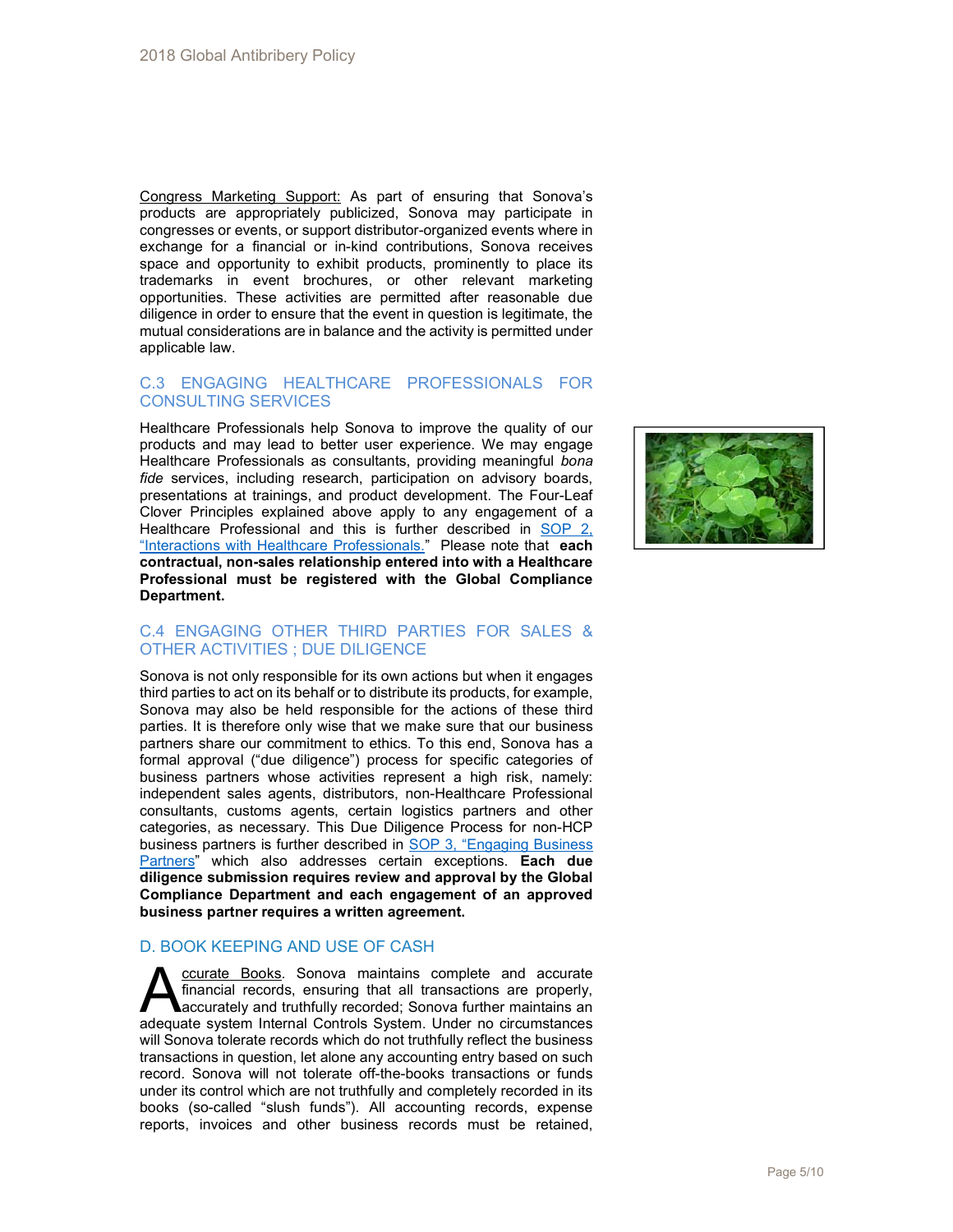Congress Marketing Support: As part of ensuring that Sonova's products are appropriately publicized, Sonova may participate in congresses or events, or support distributor-organized events where in exchange for a financial or in-kind contributions, Sonova receives space and opportunity to exhibit products, prominently to place its trademarks in event brochures, or other relevant marketing opportunities. These activities are permitted after reasonable due diligence in order to ensure that the event in question is legitimate, the mutual considerations are in balance and the activity is permitted under applicable law.

## C.3 ENGAGING HEALTHCARE PROFESSIONALS FOR CONSULTING SERVICES

Healthcare Professionals help Sonova to improve the quality of our products and may lead to better user experience. We may engage Healthcare Professionals as consultants, providing meaningful bona fide services, including research, participation on advisory boards, presentations at trainings, and product development. The Four-Leaf Clover Principles explained above apply to any engagement of a Healthcare Professional and this is further described in SOP 2, "Interactions with Healthcare Professionals." Please note that each contractual, non-sales relationship entered into with a Healthcare Professional must be registered with the Global Compliance Department.



# C.4 ENGAGING OTHER THIRD PARTIES FOR SALES & OTHER ACTIVITIES ; DUE DILIGENCE

Sonova is not only responsible for its own actions but when it engages third parties to act on its behalf or to distribute its products, for example, Sonova may also be held responsible for the actions of these third parties. It is therefore only wise that we make sure that our business partners share our commitment to ethics. To this end, Sonova has a formal approval ("due diligence") process for specific categories of business partners whose activities represent a high risk, namely: independent sales agents, distributors, non-Healthcare Professional consultants, customs agents, certain logistics partners and other categories, as necessary. This Due Diligence Process for non-HCP business partners is further described in SOP 3, "Engaging Business Partners" which also addresses certain exceptions. Each due diligence submission requires review and approval by the Global Compliance Department and each engagement of an approved business partner requires a written agreement.

# D. BOOK KEEPING AND USE OF CASH

ccurate Books. Sonova maintains complete and accurate financial records, ensuring that all transactions are properly, accurately and truthfully recorded; Sonova further maintains an **A**<br> **A**<br> **A**<br> **EXECUTE FORMS**<br> **EXECUTE ENSIGNAL EXECUTE:** FORMS are properly,<br>
adequate system Internal Controls System. Under no circumstances will Sonova tolerate records which do not truthfully reflect the business transactions in question, let alone any accounting entry based on such record. Sonova will not tolerate off-the-books transactions or funds under its control which are not truthfully and completely recorded in its books (so-called "slush funds"). All accounting records, expense reports, invoices and other business records must be retained,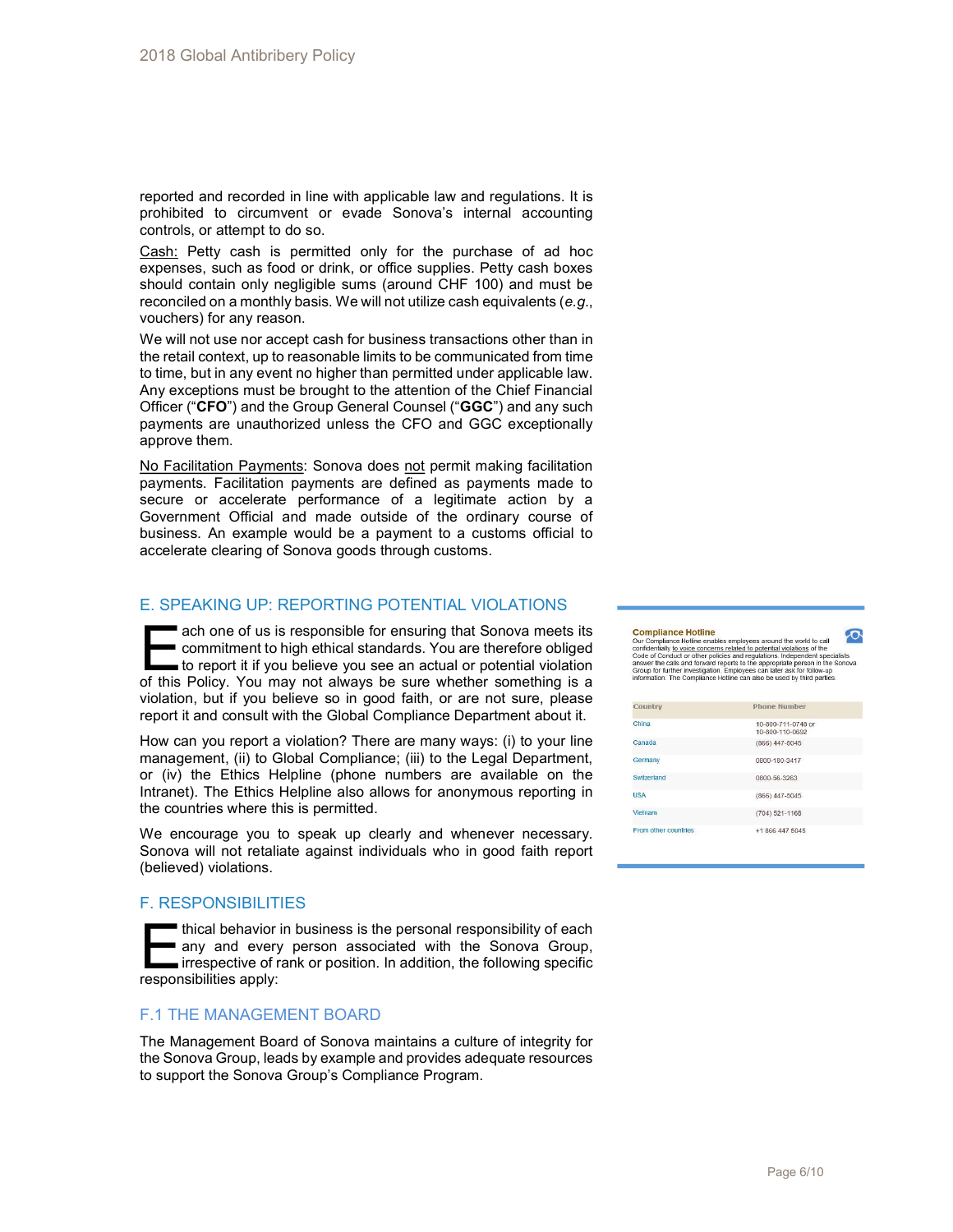reported and recorded in line with applicable law and regulations. It is prohibited to circumvent or evade Sonova's internal accounting controls, or attempt to do so.

Cash: Petty cash is permitted only for the purchase of ad hoc expenses, such as food or drink, or office supplies. Petty cash boxes should contain only negligible sums (around CHF 100) and must be reconciled on a monthly basis. We will not utilize cash equivalents (e.g., vouchers) for any reason.

We will not use nor accept cash for business transactions other than in the retail context, up to reasonable limits to be communicated from time to time, but in any event no higher than permitted under applicable law. Any exceptions must be brought to the attention of the Chief Financial Officer ("CFO") and the Group General Counsel ("GGC") and any such payments are unauthorized unless the CFO and GGC exceptionally approve them.

No Facilitation Payments: Sonova does not permit making facilitation payments. Facilitation payments are defined as payments made to secure or accelerate performance of a legitimate action by a Government Official and made outside of the ordinary course of business. An example would be a payment to a customs official to accelerate clearing of Sonova goods through customs.

## E. SPEAKING UP: REPORTING POTENTIAL VIOLATIONS

ach one of us is responsible for ensuring that Sonova meets its commitment to high ethical standards. You are therefore obliged to report it if you believe you see an actual or potential violation ach one of us is responsible for ensuring that Sonova meets its<br>commitment to high ethical standards. You are therefore obliged<br>to report it if you believe you see an actual or potential violation<br>of this Policy. You may n violation, but if you believe so in good faith, or are not sure, please report it and consult with the Global Compliance Department about it.

How can you report a violation? There are many ways: (i) to your line management, (ii) to Global Compliance; (iii) to the Legal Department, or (iv) the Ethics Helpline (phone numbers are available on the Intranet). The Ethics Helpline also allows for anonymous reporting in the countries where this is permitted.

We encourage you to speak up clearly and whenever necessary. Sonova will not retaliate against individuals who in good faith report (believed) violations.

# F. RESPONSIBILITIES

thical behavior in business is the personal responsibility of each any and every person associated with the Sonova Group, **interatable in the incontance of rank or position. In addition, the following specific** thical behavior i<br>any and every<br>irresponsibilities apply:

# F.1 THE MANAGEMENT BOARD

The Management Board of Sonova maintains a culture of integrity for the Sonova Group, leads by example and provides adequate resources to support the Sonova Group's Compliance Program.

**Compliance Hotline**<br>
Our Compliance Hotline enables employees around the world to call<br>
condidentially <u>to voce</u> concerns related to potential violations of the<br>
Code of Conduct or other policies and regulations. Independ  $\sigma$ 

| Country              | <b>Phone Number</b>                   |  |
|----------------------|---------------------------------------|--|
| China                | 10-800-711-0748 or<br>10-800-110-0692 |  |
| Canada               | $(866)$ 447-5045                      |  |
| Germany              | 0800-180-3417                         |  |
| Switzerland          | 0800-56-3263                          |  |
| <b>USA</b>           | $(866)$ 447-5045                      |  |
| Vietnam              | $(704) 521 - 1168$                    |  |
| From other countries | +1 866 447 5045                       |  |
|                      |                                       |  |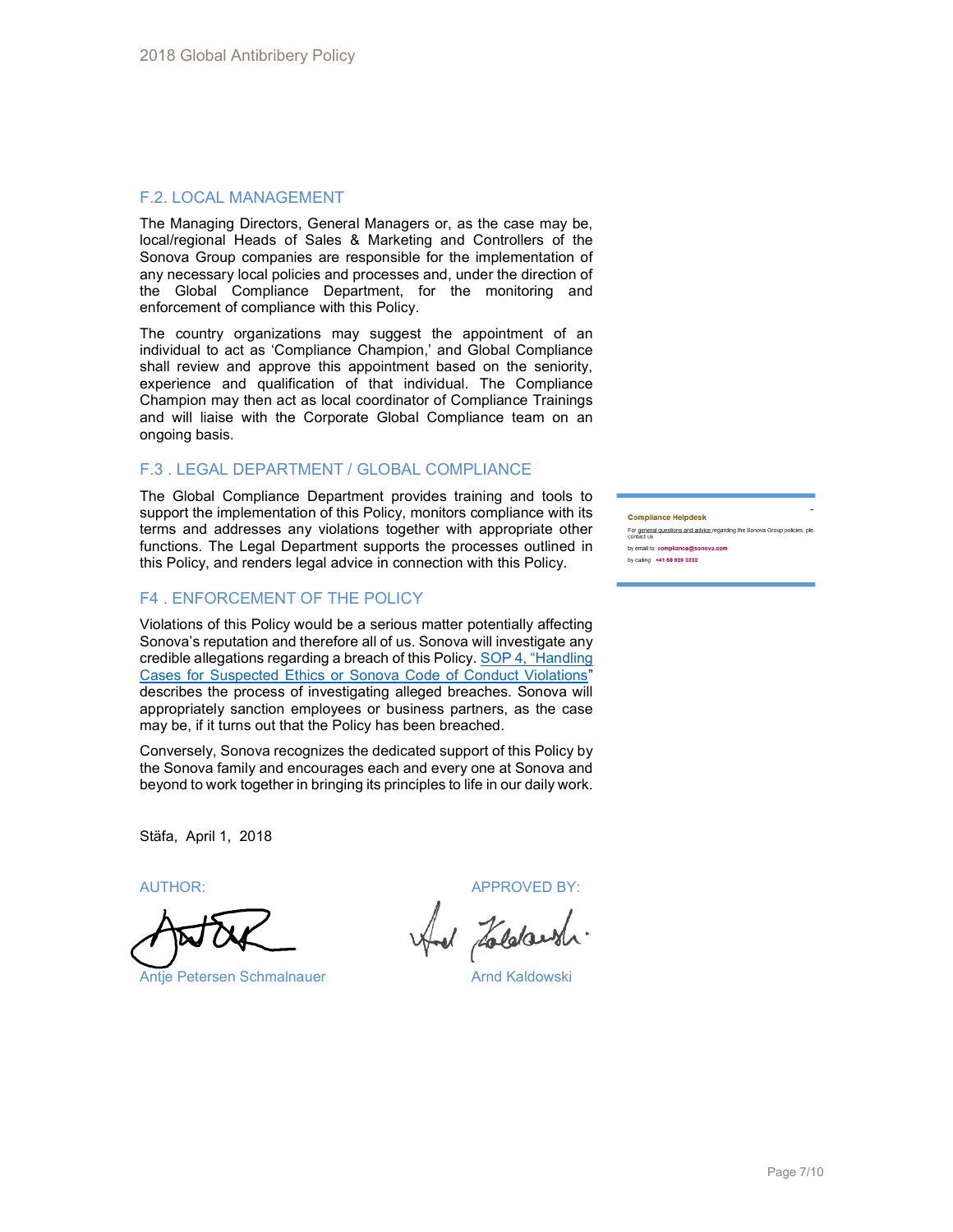# F.2. LOCAL MANAGEMENT

The Managing Directors, General Managers or, as the case may be, local/regional Heads of Sales & Marketing and Controllers of the Sonova Group companies are responsible for the implementation of any necessary local policies and processes and, under the direction of the Global Compliance Department, for the monitoring and enforcement of compliance with this Policy.

The country organizations may suggest the appointment of an individual to act as 'Compliance Champion,' and Global Compliance shall review and approve this appointment based on the seniority, experience and qualification of that individual. The Compliance Champion may then act as local coordinator of Compliance Trainings and will liaise with the Corporate Global Compliance team on an ongoing basis.

## F.3 . LEGAL DEPARTMENT / GLOBAL COMPLIANCE

The Global Compliance Department provides training and tools to support the implementation of this Policy, monitors compliance with its terms and addresses any violations together with appropriate other functions. The Legal Department supports the processes outlined in this Policy, and renders legal advice in connection with this Policy.

# F4 . ENFORCEMENT OF THE POLICY

Violations of this Policy would be a serious matter potentially affecting Sonova's reputation and therefore all of us. Sonova will investigate any credible allegations regarding a breach of this Policy. SOP 4, "Handling Cases for Suspected Ethics or Sonova Code of Conduct Violations" describes the process of investigating alleged breaches. Sonova will appropriately sanction employees or business partners, as the case may be, if it turns out that the Policy has been breached.

Conversely, Sonova recognizes the dedicated support of this Policy by the Sonova family and encourages each and every one at Sonova and beyond to work together in bringing its principles to life in our daily work.

Stäfa, April 1, 2018

AUTHOR: APPROVED BY:

Antje Petersen Schmalnauer **Arnd Kaldowski** 

#### **Compliance Helpdesk**

For general questions and advice regarding the Sonova Group policies, ple by email to: compliance@sonova.com

by calling: +41 58 928 3232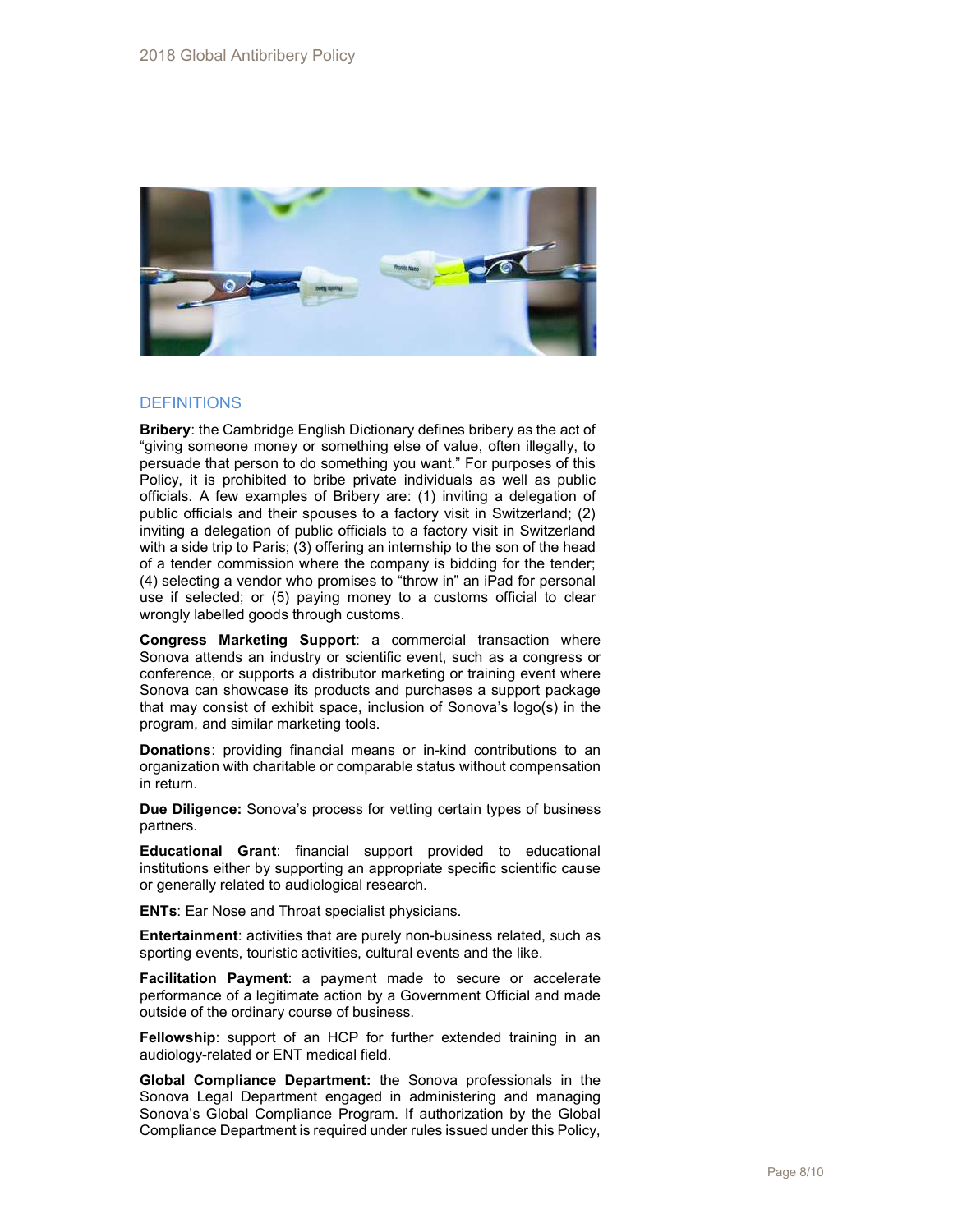

## **DEFINITIONS**

Bribery: the Cambridge English Dictionary defines bribery as the act of "giving someone money or something else of value, often illegally, to persuade that person to do something you want." For purposes of this Policy, it is prohibited to bribe private individuals as well as public officials. A few examples of Bribery are: (1) inviting a delegation of public officials and their spouses to a factory visit in Switzerland; (2) inviting a delegation of public officials to a factory visit in Switzerland with a side trip to Paris; (3) offering an internship to the son of the head of a tender commission where the company is bidding for the tender; (4) selecting a vendor who promises to "throw in" an iPad for personal use if selected; or (5) paying money to a customs official to clear wrongly labelled goods through customs.

Congress Marketing Support: a commercial transaction where Sonova attends an industry or scientific event, such as a congress or conference, or supports a distributor marketing or training event where Sonova can showcase its products and purchases a support package that may consist of exhibit space, inclusion of Sonova's logo(s) in the program, and similar marketing tools.

**Donations:** providing financial means or in-kind contributions to an organization with charitable or comparable status without compensation in return.

Due Diligence: Sonova's process for vetting certain types of business partners.

Educational Grant: financial support provided to educational institutions either by supporting an appropriate specific scientific cause or generally related to audiological research.

**ENTs: Ear Nose and Throat specialist physicians.** 

Entertainment: activities that are purely non-business related, such as sporting events, touristic activities, cultural events and the like.

Facilitation Payment: a payment made to secure or accelerate performance of a legitimate action by a Government Official and made outside of the ordinary course of business.

Fellowship: support of an HCP for further extended training in an audiology-related or ENT medical field.

Global Compliance Department: the Sonova professionals in the Sonova Legal Department engaged in administering and managing Sonova's Global Compliance Program. If authorization by the Global Compliance Department is required under rules issued under this Policy,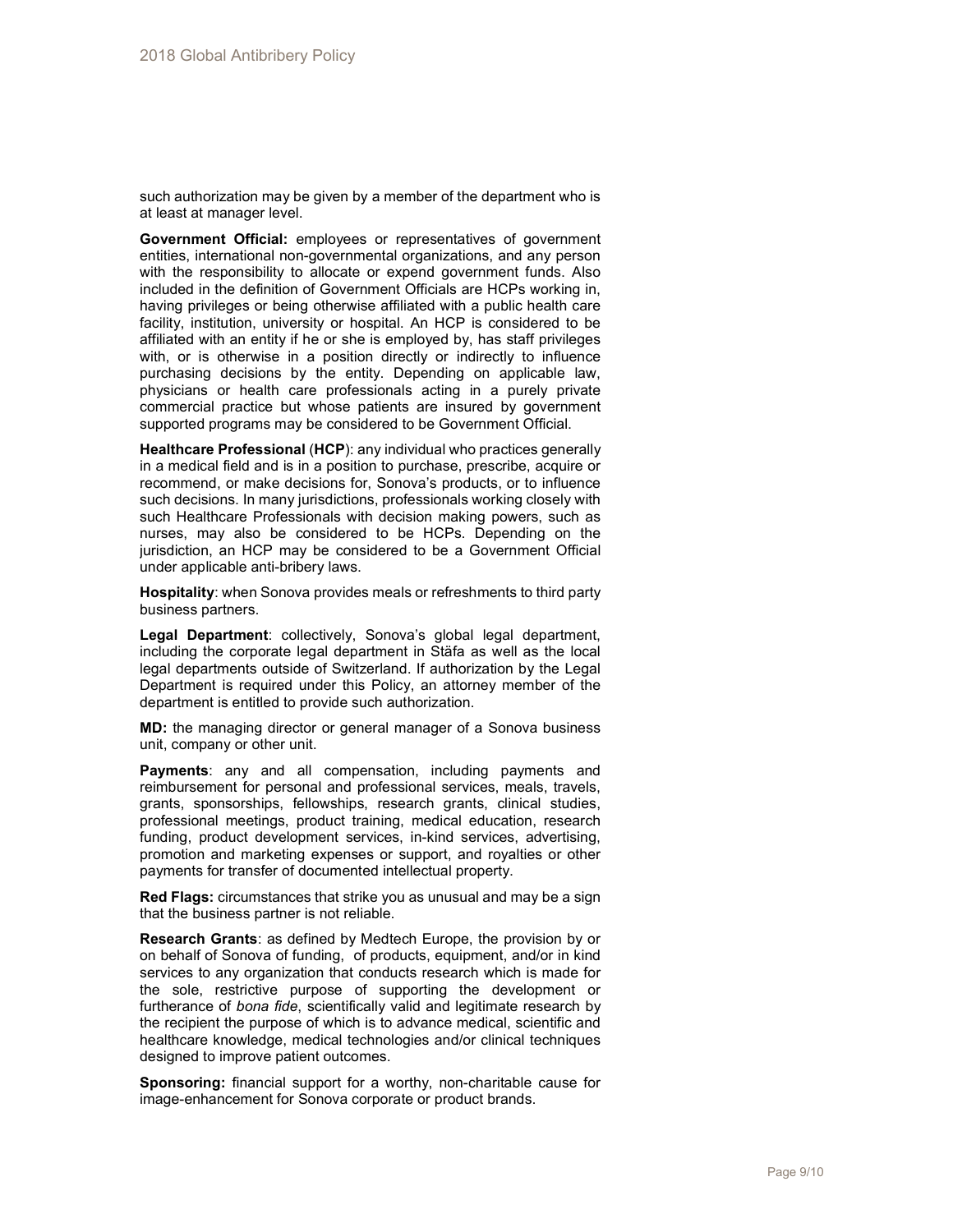such authorization may be given by a member of the department who is at least at manager level.

Government Official: employees or representatives of government entities, international non-governmental organizations, and any person with the responsibility to allocate or expend government funds. Also included in the definition of Government Officials are HCPs working in, having privileges or being otherwise affiliated with a public health care facility, institution, university or hospital. An HCP is considered to be affiliated with an entity if he or she is employed by, has staff privileges with, or is otherwise in a position directly or indirectly to influence purchasing decisions by the entity. Depending on applicable law, physicians or health care professionals acting in a purely private commercial practice but whose patients are insured by government supported programs may be considered to be Government Official.

Healthcare Professional (HCP): any individual who practices generally in a medical field and is in a position to purchase, prescribe, acquire or recommend, or make decisions for, Sonova's products, or to influence such decisions. In many jurisdictions, professionals working closely with such Healthcare Professionals with decision making powers, such as nurses, may also be considered to be HCPs. Depending on the jurisdiction, an HCP may be considered to be a Government Official under applicable anti-bribery laws.

Hospitality: when Sonova provides meals or refreshments to third party business partners.

Legal Department: collectively, Sonova's global legal department, including the corporate legal department in Stäfa as well as the local legal departments outside of Switzerland. If authorization by the Legal Department is required under this Policy, an attorney member of the department is entitled to provide such authorization.

MD: the managing director or general manager of a Sonova business unit, company or other unit.

Payments: any and all compensation, including payments and reimbursement for personal and professional services, meals, travels, grants, sponsorships, fellowships, research grants, clinical studies, professional meetings, product training, medical education, research funding, product development services, in-kind services, advertising, promotion and marketing expenses or support, and royalties or other payments for transfer of documented intellectual property.

Red Flags: circumstances that strike you as unusual and may be a sign that the business partner is not reliable.

Research Grants: as defined by Medtech Europe, the provision by or on behalf of Sonova of funding, of products, equipment, and/or in kind services to any organization that conducts research which is made for the sole, restrictive purpose of supporting the development or furtherance of bona fide, scientifically valid and legitimate research by the recipient the purpose of which is to advance medical, scientific and healthcare knowledge, medical technologies and/or clinical techniques designed to improve patient outcomes.

Sponsoring: financial support for a worthy, non-charitable cause for image-enhancement for Sonova corporate or product brands.